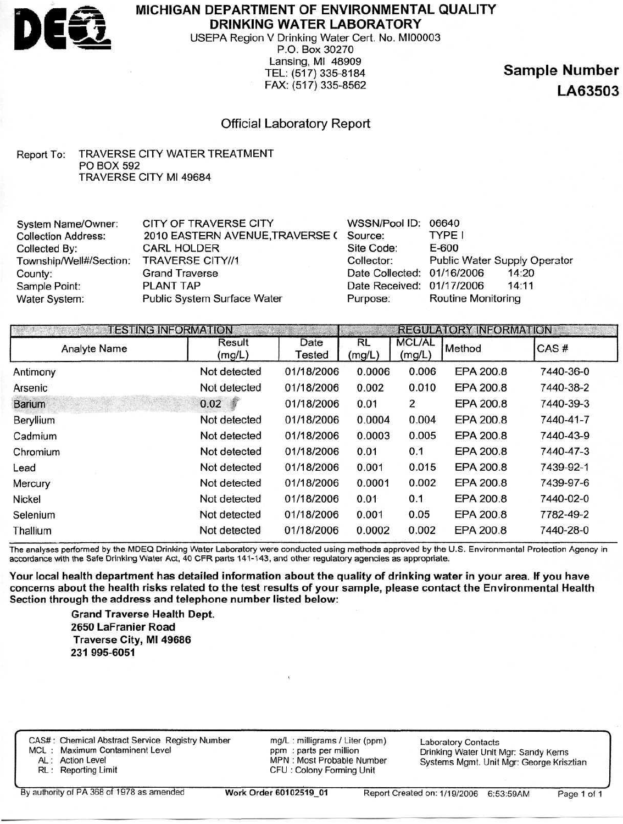

**MICHIGAN DEPARTMENT OF ENVIRONMENTAL QUALITY DRINKING WATER LABORATORY**

USEPA Region V Drinking Water Cert. No. MI00003 P.O. Box 30270 Lansing, Ml 48909 TEL: (517) 335-8184 FAX: (517) 335-8562

**Sample Number LA63503**

## Official Laboratory Report

#### Report To: TRAVERSE CITY WATER TREATMENT PO BOX 592 TRAVERSE CITY Ml 49684

| System Name/Owner:         | CITY OF TRAVERSE CITY           | WSSN/Pool ID:              | 06640                        |
|----------------------------|---------------------------------|----------------------------|------------------------------|
| <b>Collection Address:</b> | 2010 EASTERN AVENUE, TRAVERSE ( | Source:                    | TYPE I                       |
| Collected By:              | <b>CARL HOLDER</b>              | Site Code:                 | E-600                        |
| Township/Well#/Section:    | <b>TRAVERSE CITY//1</b>         | Collector:                 | Public Water Supply Operator |
| County:                    | <b>Grand Traverse</b>           | Date Collected: 01/16/2006 | 14:20                        |
| Sample Point:              | PLANT TAP                       | Date Received: 01/17/2006  | 14:11                        |
| Water System:              | Public System Surface Water     | Purpose:                   | Routine Monitoring           |

|                     | <b>TESTING INFORMATION</b> |                |              |                         | <b>REGULATORY INFORMATION</b> |           |  |
|---------------------|----------------------------|----------------|--------------|-------------------------|-------------------------------|-----------|--|
| <b>Analyte Name</b> | Result<br>(mg/L)           | Date<br>Tested | RL<br>(mg/L) | <b>MCL/AL</b><br>(mg/L) | Method                        | CAS#      |  |
| Antimony            | Not detected               | 01/18/2006     | 0.0006       | 0.006                   | EPA 200.8                     | 7440-36-0 |  |
| Arsenic             | Not detected               | 01/18/2006     | 0.002        | 0.010                   | EPA 200.8                     | 7440-38-2 |  |
| <b>Barium</b>       | 0.02                       | 01/18/2006     | 0.01         | 2                       | EPA 200.8                     | 7440-39-3 |  |
| <b>Beryllium</b>    | Not detected               | 01/18/2006     | 0.0004       | 0.004                   | EPA 200.8                     | 7440-41-7 |  |
| Cadmium             | Not detected               | 01/18/2006     | 0.0003       | 0.005                   | EPA 200.8                     | 7440-43-9 |  |
| Chromium            | Not detected               | 01/18/2006     | 0.01         | 0.1                     | EPA 200.8                     | 7440-47-3 |  |
| Lead                | Not detected               | 01/18/2006     | 0.001        | 0.015                   | EPA 200.8                     | 7439-92-1 |  |
| Mercury             | Not detected               | 01/18/2006     | 0.0001       | 0.002                   | EPA 200.8                     | 7439-97-6 |  |
| Nickel              | Not detected               | 01/18/2006     | 0.01         | 0.1                     | EPA 200.8                     | 7440-02-0 |  |
| Selenium            | Not detected               | 01/18/2006     | 0.001        | 0.05                    | EPA 200.8                     | 7782-49-2 |  |
| Thallium            | Not detected               | 01/18/2006     | 0.0002       | 0.002                   | EPA 200.8                     | 7440-28-0 |  |

The analyses performed by the MDEQ Drinking Water Laboratory were conducted using methods approved by the U.S. Environmental Protection Agency in accordance with the Safe Drinking Water Act, 40 CFR parts 141-143, and other regulatory agencies as appropriate.

**Your local health department has detailed information about the quality of drinking water in your area. If you have concerns about the health risks related to the test results of your sample, please contact the Environmental Health Section through the address and telephone number listed below:**

> mg/L : milligrams / Liter (ppm) ppm : parts per million MPN : Most Probable Number CPU : Colony Forming Unit

**Grand Traverse Health Dept. 2650 LaFranier Road Traverse City, Ml 49686 231 995-6051**

CAS# : Chemical Abstract Service Registry Number

MCL : Maximum Contaminent Level

AL: Action Level

RL : Reporting Limit

Laboratory Contacts Drinking Water Unit Mgr: Sandy Kerns Systems Mgmt. Unit Mgr: George Krisztian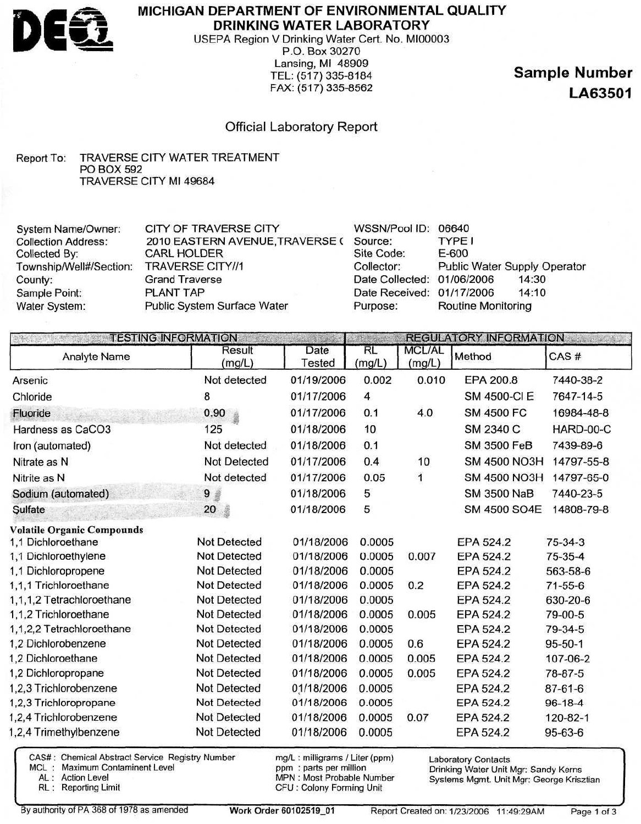

## **MICHIGAN DEPARTMENT OF ENVIRONMENTAL QUALITY DRINKING WATER LABORATORY**

USEPA Region V Drinking Water Cert. No. MI00003 P.O. Box 30270 Lansing, Ml 48909 TEL: (517) 335-8184 FAX: (517) 335-8562

**Sample Number LA63501**

## Official Laboratory Report

#### Report To: TRAVERSE CITY WATER TREATMENT PO BOX 592 TRAVERSE CITY Ml 49684

| <b>System Name/Owner:</b>  | <b>CITY OF TRAVERSE CITY</b>    | WSSN/Pool ID:              | 06640                        |
|----------------------------|---------------------------------|----------------------------|------------------------------|
| <b>Collection Address:</b> | 2010 EASTERN AVENUE, TRAVERSE ( | Source:                    | <b>TYPE I</b>                |
| Collected By:              | <b>CARL HOLDER</b>              | Site Code:                 | $E-600$                      |
| Township/Well#/Section:    | <b>TRAVERSE CITY//1</b>         | Collector:                 | Public Water Supply Operator |
| County:                    | <b>Grand Traverse</b>           | Date Collected: 01/06/2006 | 14:30                        |
| Sample Point:              | PLANT TAP                       | Date Received: 01/17/2006  | 14:10                        |
| Water System:              | Public System Surface Water     | Purpose:                   | <b>Routine Monitoring</b>    |
|                            |                                 |                            |                              |

|                                                                                                                                 | <b>TESTING INFORMATION</b>                                                               |                                                      |                                      |                         | <b>REGULATORY INFORMATION</b>                    | <b>CANCRATIC</b>                                      |
|---------------------------------------------------------------------------------------------------------------------------------|------------------------------------------------------------------------------------------|------------------------------------------------------|--------------------------------------|-------------------------|--------------------------------------------------|-------------------------------------------------------|
| <b>Analyte Name</b>                                                                                                             | Result<br>(mg/L)                                                                         | Date<br><b>Tested</b>                                | <b>RL</b><br>(mg/L)                  | <b>MCL/AL</b><br>(mg/L) | Method                                           | CAS#                                                  |
| Arsenic                                                                                                                         | Not detected                                                                             | 01/19/2006                                           | 0.002                                | 0.010                   | EPA 200.8                                        | 7440-38-2                                             |
| Chloride                                                                                                                        | 8                                                                                        | 01/17/2006                                           | 4                                    |                         | SM 4500-CI E                                     | 7647-14-5                                             |
| Fluoride                                                                                                                        | 0.90                                                                                     | 01/17/2006                                           | 0.1                                  | 4.0                     | <b>SM 4500 FC</b>                                | 16984-48-8                                            |
| Hardness as CaCO3                                                                                                               | 125                                                                                      | 01/18/2006                                           | 10                                   |                         | SM 2340 C                                        | HARD-00-C                                             |
| Iron (automated)                                                                                                                | Not detected                                                                             | 01/18/2006                                           | 0.1                                  |                         | <b>SM 3500 FeB</b>                               | 7439-89-6                                             |
| Nitrate as N                                                                                                                    | Not Detected                                                                             | 01/17/2006                                           | 0.4                                  | 10                      | <b>SM 4500 NO3H</b>                              | 14797-55-8                                            |
| Nitrite as N                                                                                                                    | Not detected                                                                             | 01/17/2006                                           | 0.05                                 | 1                       | <b>SM 4500 NO3H</b>                              | 14797-65-0                                            |
| Sodium (automated)                                                                                                              | 9<br>畫                                                                                   | 01/18/2006                                           | 5                                    |                         | <b>SM 3500 NaB</b>                               | 7440-23-5                                             |
| Sulfate                                                                                                                         | 20<br>靈                                                                                  | 01/18/2006                                           | 5                                    |                         | SM 4500 SO4E                                     | 14808-79-8                                            |
| <b>Volatile Organic Compounds</b><br>1,1 Dichloroethane<br>1,1 Dichloroethylene<br>1,1 Dichloropropene<br>1,1,1 Trichloroethane | <b>Not Detected</b><br><b>Not Detected</b><br><b>Not Detected</b><br><b>Not Detected</b> | 01/18/2006<br>01/18/2006<br>01/18/2006<br>01/18/2006 | 0.0005<br>0.0005<br>0.0005<br>0.0005 | 0.007<br>0.2            | EPA 524.2<br>EPA 524.2<br>EPA 524.2<br>EPA 524.2 | 75-34-3<br>$75 - 35 - 4$<br>563-58-6<br>$71 - 55 - 6$ |
| 1,1,1,2 Tetrachloroethane                                                                                                       | <b>Not Detected</b>                                                                      | 01/18/2006                                           | 0.0005                               |                         | EPA 524.2                                        | 630-20-6                                              |
| 1,1,2 Trichloroethane<br>1,1,2,2 Tetrachloroethane                                                                              | <b>Not Detected</b><br><b>Not Detected</b>                                               | 01/18/2006<br>01/18/2006                             | 0.0005<br>0.0005                     | 0.005                   | EPA 524.2<br>EPA 524.2                           | 79-00-5<br>79-34-5                                    |
| 1.2 Dichlorobenzene                                                                                                             | Not Detected                                                                             | 01/18/2006                                           | 0.0005                               | 0.6                     | EPA 524.2                                        | $95 - 50 - 1$                                         |
| 1,2 Dichloroethane                                                                                                              | <b>Not Detected</b>                                                                      | 01/18/2006                                           | 0.0005                               | 0.005                   | EPA 524.2                                        | 107-06-2                                              |
| 1,2 Dichloropropane                                                                                                             | <b>Not Detected</b>                                                                      | 01/18/2006                                           | 0.0005                               | 0.005                   | EPA 524.2                                        | 78-87-5                                               |
| 1,2,3 Trichlorobenzene                                                                                                          | <b>Not Detected</b>                                                                      | 01/18/2006                                           | 0.0005                               |                         | EPA 524.2                                        | $87 - 61 - 6$                                         |
| 1,2,3 Trichloropropane                                                                                                          | <b>Not Detected</b>                                                                      | 01/18/2006                                           | 0.0005                               |                         | EPA 524.2                                        | $96 - 18 - 4$                                         |
| 1,2,4 Trichlorobenzene                                                                                                          | <b>Not Detected</b>                                                                      | 01/18/2006                                           | 0.0005                               | 0.07                    | EPA 524.2                                        | 120-82-1                                              |
| 1,2,4 Trimethylbenzene                                                                                                          | Not Detected                                                                             | 01/18/2006                                           | 0.0005                               |                         | EPA 524.2                                        | $95 - 63 - 6$                                         |
| CAS#: Chemical Abstract Service Registry Number                                                                                 |                                                                                          | mg/L: milligrams / Liter (ppm)                       |                                      |                         | <b>Laboratory Contacts</b>                       |                                                       |

MCL : Maximum Contaminent Level

AL : Action Level

RL : Reporting Limit

ppm : parts per million MPN : Most Probable Number CPU : Colony Forming Unit

Drinking Water Unit Mgr: Sandy Kerns Systems Mgmt. Unit Mgr: George Krisztian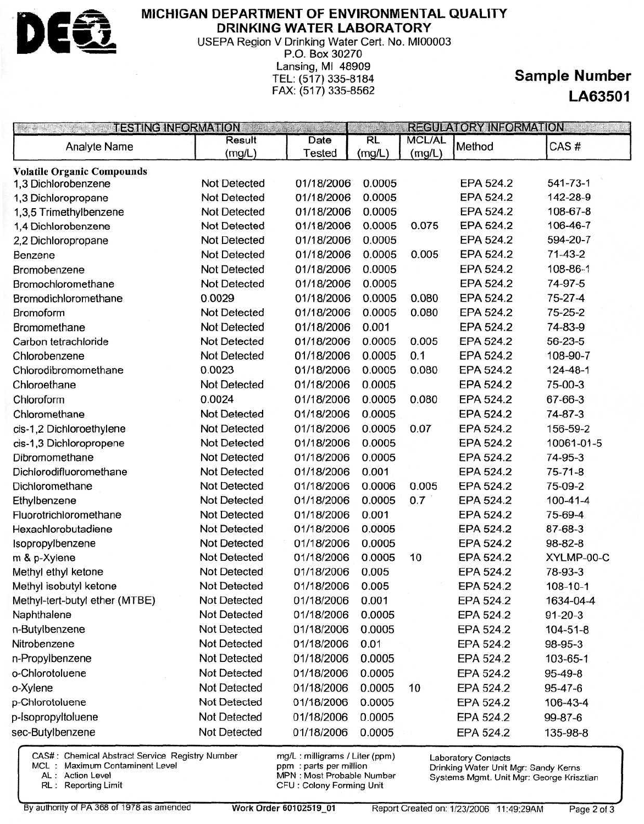

### **MICHIGAN DEPARTMENT OF ENVIRONMENTAL QUALITY DRINKING WATER LABORATORY**

USEPA Region V Drinking Water Cert. No. MI00003 P.O. Box 30270 Lansing, Ml 48909 TEL: (517) 335-8184 FAX: (517) 335-8562

# **Sample Number LA63501**

| <b>TESTING INFORMATION</b><br>Martin Storm and |                     | <b>REGULATORY INFORMATION</b> |           |               |                  |                |
|------------------------------------------------|---------------------|-------------------------------|-----------|---------------|------------------|----------------|
| Analyte Name                                   | Result              | Date                          | <b>RL</b> | <b>MCL/AL</b> | Method           | CAS#           |
|                                                | (mg/L)              | Tested                        | (mg/L)    | (mg/L)        |                  |                |
| <b>Volatile Organic Compounds</b>              |                     |                               |           |               |                  |                |
| 1,3 Dichlorobenzene                            | <b>Not Detected</b> | 01/18/2006                    | 0.0005    |               | EPA 524.2        | 541-73-1       |
| 1,3 Dichloropropane                            | <b>Not Detected</b> | 01/18/2006                    | 0.0005    |               | EPA 524.2        | 142-28-9       |
| 1,3,5 Trimethylbenzene                         | <b>Not Detected</b> | 01/18/2006                    | 0.0005    |               | EPA 524.2        | 108-67-8       |
| 1,4 Dichlorobenzene                            | Not Detected        | 01/18/2006                    | 0.0005    | 0.075         | EPA 524.2        | 106-46-7       |
| 2,2 Dichloropropane                            | Not Detected        | 01/18/2006                    | 0.0005    |               | EPA 524.2        | 594-20-7       |
| Benzene                                        | <b>Not Detected</b> | 01/18/2006                    | 0.0005    | 0.005         | EPA 524.2        | $71-43-2$      |
| Bromobenzene                                   | <b>Not Detected</b> | 01/18/2006                    | 0.0005    |               | <b>EPA 524.2</b> | 108-86-1       |
| Bromochloromethane                             | <b>Not Detected</b> | 01/18/2006                    | 0.0005    |               | EPA 524.2        | 74-97-5        |
| Bromodichloromethane                           | 0.0029              | 01/18/2006                    | 0.0005    | 0.080         | EPA 524.2        | 75-27-4        |
| Bromoform                                      | Not Detected        | 01/18/2006                    | 0.0005    | 0.080         | EPA 524.2        | $75 - 25 - 2$  |
| Bromomethane                                   | <b>Not Detected</b> | 01/18/2006                    | 0.001     |               | EPA 524.2        | 74-83-9        |
| Carbon tetrachloride                           | Not Detected        | 01/18/2006                    | 0.0005    | 0.005         | EPA 524.2        | $56 - 23 - 5$  |
| Chlorobenzene                                  | Not Detected        | 01/18/2006                    | 0.0005    | 0.1           | EPA 524.2        | 108-90-7       |
| Chlorodibromomethane                           | 0.0023              | 01/18/2006                    | 0.0005    | 0.080         | EPA 524.2        | 124-48-1       |
| Chloroethane                                   | <b>Not Detected</b> | 01/18/2006                    | 0.0005    |               | EPA 524.2        | 75-00-3        |
| Chloroform                                     | 0.0024              | 01/18/2006                    | 0.0005    | 0.080         | EPA 524.2        | 67-66-3        |
| Chloromethane                                  | <b>Not Detected</b> | 01/18/2006                    | 0.0005    |               | EPA 524.2        | $74 - 87 - 3$  |
| cis-1,2 Dichloroethylene                       | <b>Not Detected</b> | 01/18/2006                    | 0.0005    | 0.07          | EPA 524.2        | 156-59-2       |
| cis-1,3 Dichloropropene                        | Not Detected        | 01/18/2006                    | 0.0005    |               | EPA 524.2        | 10061-01-5     |
| Dibromomethane                                 | Not Detected        | 01/18/2006                    | 0.0005    |               | EPA 524.2        | 74-95-3        |
| Dichlorodifluoromethane                        | <b>Not Detected</b> | 01/18/2006                    | 0.001     |               | EPA 524.2        | $75 - 71 - 8$  |
| Dichloromethane                                | <b>Not Detected</b> | 01/18/2006                    | 0.0006    | 0.005         | EPA 524.2        | 75-09-2        |
| Ethylbenzene                                   | <b>Not Detected</b> | 01/18/2006                    | 0.0005    | 0.7           | EPA 524.2        | $100 - 41 - 4$ |
| Fluorotrichloromethane                         | Not Detected        | 01/18/2006                    | 0.001     |               | EPA 524.2        | 75-69-4        |
| Hexachlorobutadiene                            | Not Detected        | 01/18/2006                    | 0.0005    |               | EPA 524.2        | 87-68-3        |
| Isopropylbenzene                               | Not Detected        | 01/18/2006                    | 0.0005    |               | EPA 524.2        | 98-82-8        |
| m & p-Xylene                                   | <b>Not Detected</b> | 01/18/2006                    | 0.0005    | 10            | EPA 524.2        | XYLMP-00-C     |
| Methyl ethyl ketone                            | <b>Not Detected</b> | 01/18/2006                    | 0.005     |               | EPA 524.2        | 78-93-3        |
| Methyl isobutyl ketone                         | <b>Not Detected</b> | 01/18/2006                    | 0.005     |               | EPA 524.2        | $108 - 10 - 1$ |
| Methyl-tert-butyl ether (MTBE)                 | Not Detected        | 01/18/2006                    | 0.001     |               | EPA 524.2        | 1634-04-4      |
| Naphthalene                                    | Not Detected        | 01/18/2006                    | 0.0005    |               | EPA 524.2        | $91 - 20 - 3$  |
| n-Butylbenzene                                 | <b>Not Detected</b> | 01/18/2006                    | 0.0005    |               | EPA 524.2        | $104 - 51 - 8$ |
| Nitrobenzene                                   | Not Detected        | 01/18/2006                    | 0.01      |               | EPA 524.2        | 98-95-3        |
| n-Propylbenzene                                | Not Detected        | 01/18/2006                    | 0.0005    |               | EPA 524.2        | 103-65-1       |
| o-Chlorotoluene                                | Not Detected        | 01/18/2006                    | 0.0005    |               | EPA 524.2        | 95-49-8        |
| o-Xylene                                       | Not Detected        | 01/18/2006                    | 0.0005    | 10            | EPA 524.2        | 95-47-6        |
| p-Chlorotoluene                                | Not Detected        | 01/18/2006                    | 0.0005    |               | EPA 524.2        | 106-43-4       |
| p-Isopropyltoluene                             | <b>Not Detected</b> | 01/18/2006                    | 0.0005    |               | EPA 524.2        | 99-87-6        |
| sec-Butylbenzene                               | Not Detected        | 01/18/2006                    | 0.0005    |               | EPA 524.2        | 135-98-8       |
|                                                |                     |                               |           |               |                  |                |

CAS#: Chemical Abstract Service Registry Number mg/L : milligrams / Liter (ppm)

MCL : Maximum Contaminent Level<br>AL : Action Level

CL : Maximum Contaminent Level<br>
AL : Action Level<br>
RL : Reporting Limit<br>
RL : Reporting Limit<br>
MPN : Most Probable Number<br>
CFU : Colony Forming Unit CFU : Colony Forming Unit

Laboratory Contacts Drinking Water Unit Mgr: Sandy Kerns Systems Mgmt. Unit Mgr: George Krisztian